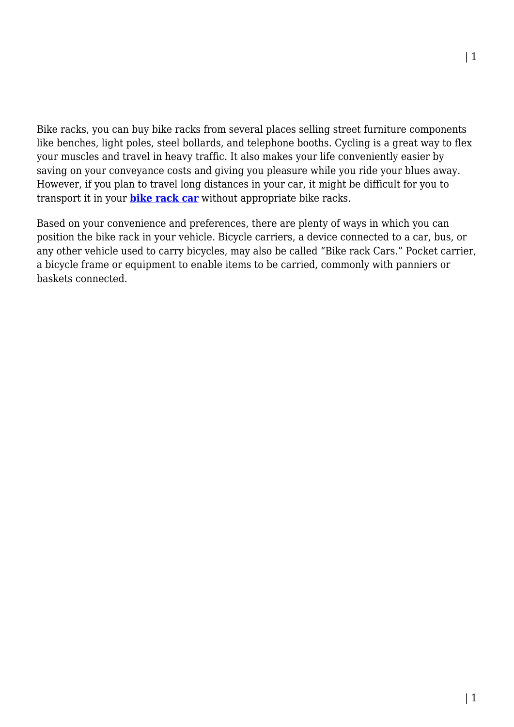Bike racks, you can buy bike racks from several places selling street furniture components like benches, light poles, steel bollards, and telephone booths. Cycling is a great way to flex your muscles and travel in heavy traffic. It also makes your life conveniently easier by saving on your conveyance costs and giving you pleasure while you ride your blues away. However, if you plan to travel long distances in your car, it might be difficult for you to transport it in your **[bike rack car](https://kidsrideoncar.com.au/cycling/bicycle-bike-rack/)** without appropriate bike racks.

Based on your convenience and preferences, there are plenty of ways in which you can position the bike rack in your vehicle. Bicycle carriers, a device connected to a car, bus, or any other vehicle used to carry bicycles, may also be called "Bike rack Cars." Pocket carrier, a bicycle frame or equipment to enable items to be carried, commonly with panniers or baskets connected.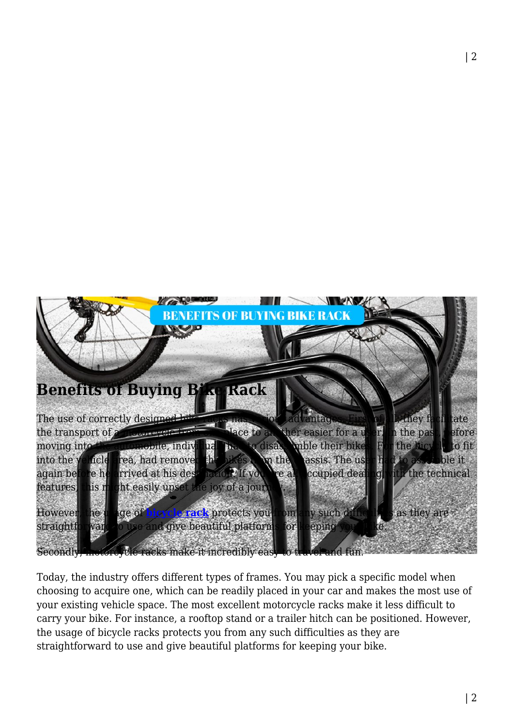

Today, the industry offers different types of frames. You may pick a specific model when choosing to acquire one, which can be readily placed in your car and makes the most use of your existing vehicle space. The most excellent motorcycle racks make it less difficult to carry your bike. For instance, a rooftop stand or a trailer hitch can be positioned. However, the usage of bicycle racks protects you from any such difficulties as they are straightforward to use and give beautiful platforms for keeping your bike.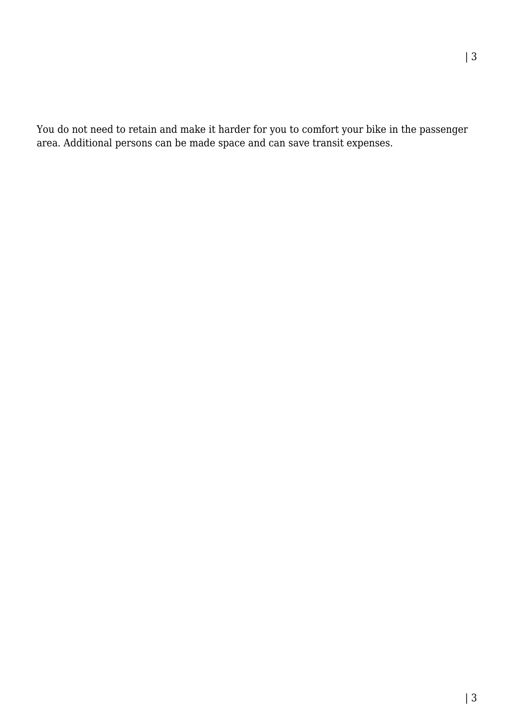You do not need to retain and make it harder for you to comfort your bike in the passenger area. Additional persons can be made space and can save transit expenses.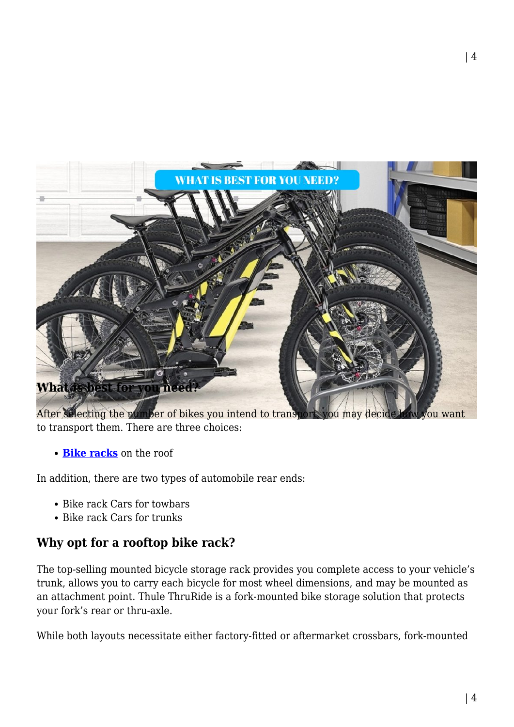

After selecting the number of bikes you intend to transport, you may decide how you want to transport them. There are three choices:

**[Bike racks](https://kidsrideoncar.com.au/cycling/bicycle-bike-rack/)** on the roof

In addition, there are two types of automobile rear ends:

- Bike rack Cars for towbars
- Bike rack Cars for trunks

## **Why opt for a rooftop bike rack?**

The top-selling mounted bicycle storage rack provides you complete access to your vehicle's trunk, allows you to carry each bicycle for most wheel dimensions, and may be mounted as an attachment point. Thule ThruRide is a fork-mounted bike storage solution that protects your fork's rear or thru-axle.

While both layouts necessitate either factory-fitted or aftermarket crossbars, fork-mounted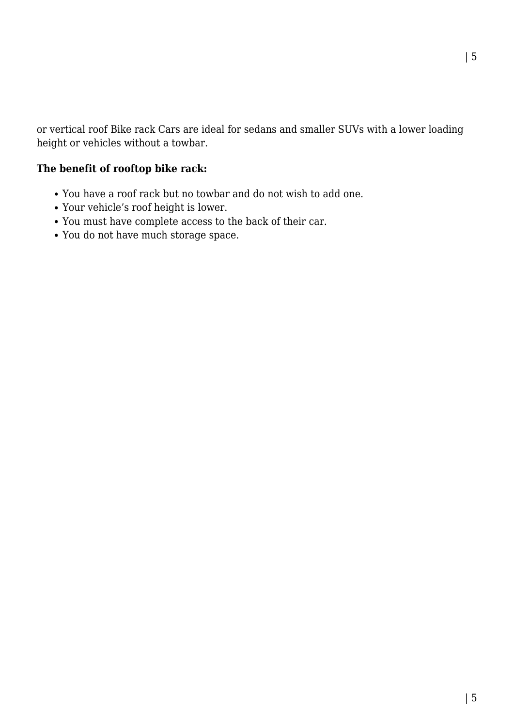| 5

or vertical roof Bike rack Cars are ideal for sedans and smaller SUVs with a lower loading height or vehicles without a towbar.

## **The benefit of rooftop bike rack:**

- You have a roof rack but no towbar and do not wish to add one.
- Your vehicle's roof height is lower.
- You must have complete access to the back of their car.
- You do not have much storage space.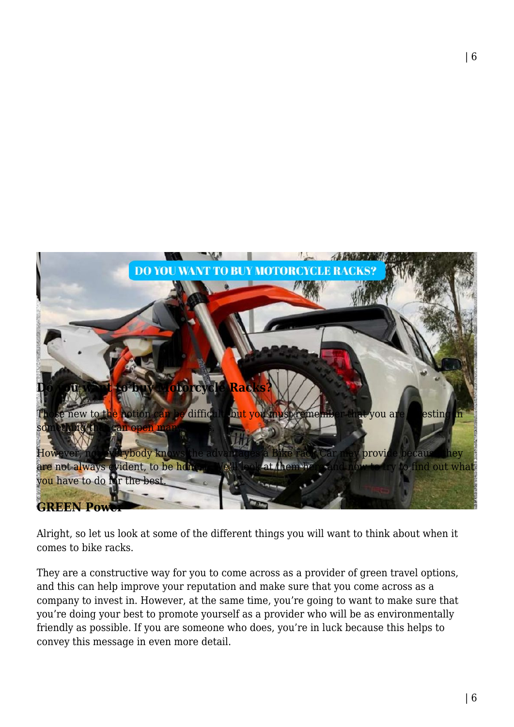

Alright, so let us look at some of the different things you will want to think about when it comes to bike racks.

They are a constructive way for you to come across as a provider of green travel options, and this can help improve your reputation and make sure that you come across as a company to invest in. However, at the same time, you're going to want to make sure that you're doing your best to promote yourself as a provider who will be as environmentally friendly as possible. If you are someone who does, you're in luck because this helps to convey this message in even more detail.